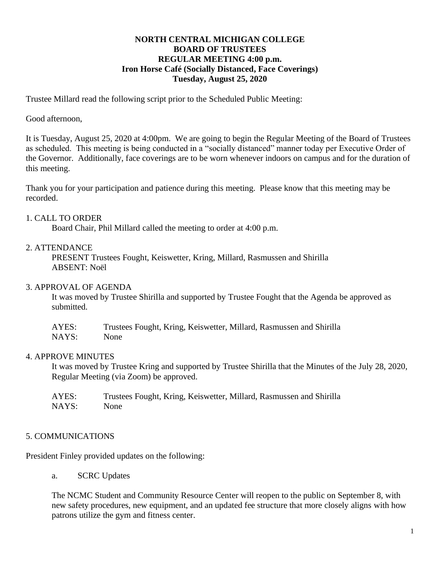# **NORTH CENTRAL MICHIGAN COLLEGE BOARD OF TRUSTEES REGULAR MEETING 4:00 p.m. Iron Horse Café (Socially Distanced, Face Coverings) Tuesday, August 25, 2020**

Trustee Millard read the following script prior to the Scheduled Public Meeting:

## Good afternoon,

It is Tuesday, August 25, 2020 at 4:00pm. We are going to begin the Regular Meeting of the Board of Trustees as scheduled. This meeting is being conducted in a "socially distanced" manner today per Executive Order of the Governor. Additionally, face coverings are to be worn whenever indoors on campus and for the duration of this meeting.

Thank you for your participation and patience during this meeting. Please know that this meeting may be recorded.

### 1. CALL TO ORDER

Board Chair, Phil Millard called the meeting to order at 4:00 p.m.

## 2. ATTENDANCE

PRESENT Trustees Fought, Keiswetter, Kring, Millard, Rasmussen and Shirilla ABSENT: Noël

### 3. APPROVAL OF AGENDA

It was moved by Trustee Shirilla and supported by Trustee Fought that the Agenda be approved as submitted.

| AYES: | Trustees Fought, Kring, Keiswetter, Millard, Rasmussen and Shirilla |
|-------|---------------------------------------------------------------------|
| NAYS: | <b>None</b>                                                         |

# 4. APPROVE MINUTES

It was moved by Trustee Kring and supported by Trustee Shirilla that the Minutes of the July 28, 2020, Regular Meeting (via Zoom) be approved.

| AYES: | Trustees Fought, Kring, Keiswetter, Millard, Rasmussen and Shirilla |
|-------|---------------------------------------------------------------------|
| NAYS: | None                                                                |

# 5. COMMUNICATIONS

President Finley provided updates on the following:

a. SCRC Updates

The NCMC Student and Community Resource Center will reopen to the public on September 8, with new safety procedures, new equipment, and an updated fee structure that more closely aligns with how patrons utilize the gym and fitness center.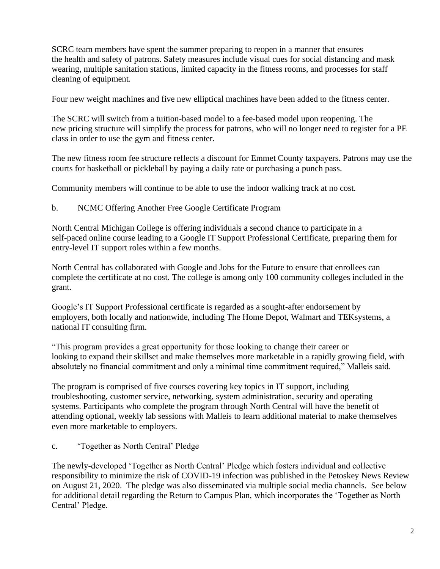SCRC team members have spent the summer preparing to reopen in a manner that ensures the health and safety of patrons. Safety measures include visual cues for social distancing and mask wearing, multiple sanitation stations, limited capacity in the fitness rooms, and processes for staff cleaning of equipment.

Four new weight machines and five new elliptical machines have been added to the fitness center.

The SCRC will switch from a tuition-based model to a fee-based model upon reopening. The new pricing structure will simplify the process for patrons, who will no longer need to register for a PE class in order to use the gym and fitness center.

The new fitness room fee structure reflects a discount for Emmet County taxpayers. Patrons may use the courts for basketball or pickleball by paying a daily rate or purchasing a punch pass.

Community members will continue to be able to use the indoor walking track at no cost.

b. NCMC Offering Another Free Google Certificate Program

North Central Michigan College is offering individuals a second chance to participate in a self-paced online course leading to a Google IT Support Professional Certificate, preparing them for entry-level IT support roles within a few months.

North Central has collaborated with Google and Jobs for the Future to ensure that enrollees can complete the certificate at no cost. The college is among only 100 community colleges included in the grant.

Google's IT Support Professional certificate is regarded as a sought-after endorsement by employers, both locally and nationwide, including The Home Depot, Walmart and TEKsystems, a national IT consulting firm.

"This program provides a great opportunity for those looking to change their career or looking to expand their skillset and make themselves more marketable in a rapidly growing field, with absolutely no financial commitment and only a minimal time commitment required," Malleis said.

The program is comprised of five courses covering key topics in IT support, including troubleshooting, customer service, networking, system administration, security and operating systems. Participants who complete the program through North Central will have the benefit of attending optional, weekly lab sessions with Malleis to learn additional material to make themselves even more marketable to employers.

c. 'Together as North Central' Pledge

The newly-developed 'Together as North Central' Pledge which fosters individual and collective responsibility to minimize the risk of COVID-19 infection was published in the Petoskey News Review on August 21, 2020. The pledge was also disseminated via multiple social media channels. See below for additional detail regarding the Return to Campus Plan, which incorporates the 'Together as North Central' Pledge.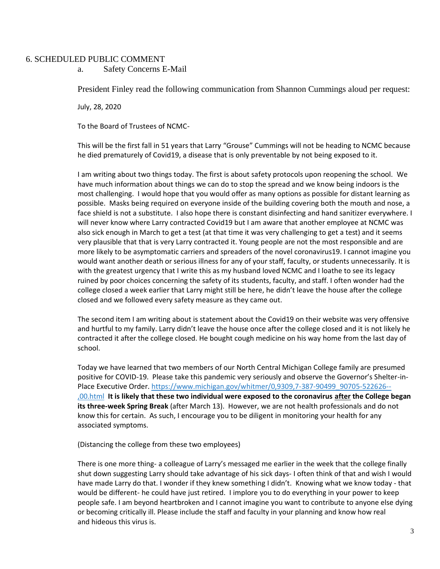#### 6. SCHEDULED PUBLIC COMMENT

a. Safety Concerns E-Mail

President Finley read the following communication from Shannon Cummings aloud per request:

July, 28, 2020

To the Board of Trustees of NCMC-

This will be the first fall in 51 years that Larry "Grouse" Cummings will not be heading to NCMC because he died prematurely of Covid19, a disease that is only preventable by not being exposed to it.

I am writing about two things today. The first is about safety protocols upon reopening the school. We have much information about things we can do to stop the spread and we know being indoors is the most challenging. I would hope that you would offer as many options as possible for distant learning as possible. Masks being required on everyone inside of the building covering both the mouth and nose, a face shield is not a substitute. I also hope there is constant disinfecting and hand sanitizer everywhere. I will never know where Larry contracted Covid19 but I am aware that another employee at NCMC was also sick enough in March to get a test (at that time it was very challenging to get a test) and it seems very plausible that that is very Larry contracted it. Young people are not the most responsible and are more likely to be asymptomatic carriers and spreaders of the novel coronavirus19. I cannot imagine you would want another death or serious illness for any of your staff, faculty, or students unnecessarily. It is with the greatest urgency that I write this as my husband loved NCMC and I loathe to see its legacy ruined by poor choices concerning the safety of its students, faculty, and staff. I often wonder had the college closed a week earlier that Larry might still be here, he didn't leave the house after the college closed and we followed every safety measure as they came out.

The second item I am writing about is statement about the Covid19 on their website was very offensive and hurtful to my family. Larry didn't leave the house once after the college closed and it is not likely he contracted it after the college closed. He bought cough medicine on his way home from the last day of school.

Today we have learned that two members of our North Central Michigan College family are presumed positive for COVID-19. Please take this pandemic very seriously and observe the Governor's Shelter-in-Place Executive Order. [https://www.michigan.gov/whitmer/0,9309,7-387-90499\\_90705-522626--](https://www.michigan.gov/whitmer/0,9309,7-387-90499_90705-522626--,00.html) [,00.html](https://www.michigan.gov/whitmer/0,9309,7-387-90499_90705-522626--,00.html) **It is likely that these two individual were exposed to the coronavirus after the College began its three-week Spring Break** (after March 13). However, we are not health professionals and do not know this for certain. As such, I encourage you to be diligent in monitoring your health for any associated symptoms.

(Distancing the college from these two employees)

There is one more thing- a colleague of Larry's messaged me earlier in the week that the college finally shut down suggesting Larry should take advantage of his sick days- I often think of that and wish I would have made Larry do that. I wonder if they knew something I didn't. Knowing what we know today - that would be different- he could have just retired. I implore you to do everything in your power to keep people safe. I am beyond heartbroken and I cannot imagine you want to contribute to anyone else dying or becoming critically ill. Please include the staff and faculty in your planning and know how real and hideous this virus is.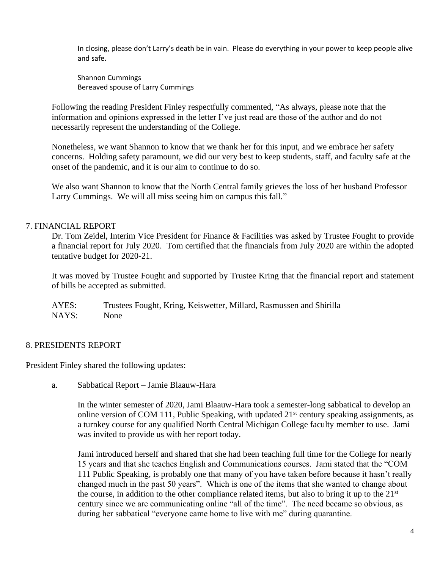In closing, please don't Larry's death be in vain. Please do everything in your power to keep people alive and safe.

Shannon Cummings Bereaved spouse of Larry Cummings

Following the reading President Finley respectfully commented, "As always, please note that the information and opinions expressed in the letter I've just read are those of the author and do not necessarily represent the understanding of the College.

Nonetheless, we want Shannon to know that we thank her for this input, and we embrace her safety concerns. Holding safety paramount, we did our very best to keep students, staff, and faculty safe at the onset of the pandemic, and it is our aim to continue to do so.

We also want Shannon to know that the North Central family grieves the loss of her husband Professor Larry Cummings. We will all miss seeing him on campus this fall."

# 7. FINANCIAL REPORT

Dr. Tom Zeidel, Interim Vice President for Finance & Facilities was asked by Trustee Fought to provide a financial report for July 2020. Tom certified that the financials from July 2020 are within the adopted tentative budget for 2020-21.

It was moved by Trustee Fought and supported by Trustee Kring that the financial report and statement of bills be accepted as submitted.

AYES: Trustees Fought, Kring, Keiswetter, Millard, Rasmussen and Shirilla NAYS: None

### 8. PRESIDENTS REPORT

President Finley shared the following updates:

a. Sabbatical Report – Jamie Blaauw-Hara

In the winter semester of 2020, Jami Blaauw-Hara took a semester-long sabbatical to develop an online version of COM 111, Public Speaking, with updated  $21<sup>st</sup>$  century speaking assignments, as a turnkey course for any qualified North Central Michigan College faculty member to use. Jami was invited to provide us with her report today.

Jami introduced herself and shared that she had been teaching full time for the College for nearly 15 years and that she teaches English and Communications courses. Jami stated that the "COM 111 Public Speaking, is probably one that many of you have taken before because it hasn't really changed much in the past 50 years". Which is one of the items that she wanted to change about the course, in addition to the other compliance related items, but also to bring it up to the 21<sup>st</sup> century since we are communicating online "all of the time". The need became so obvious, as during her sabbatical "everyone came home to live with me" during quarantine.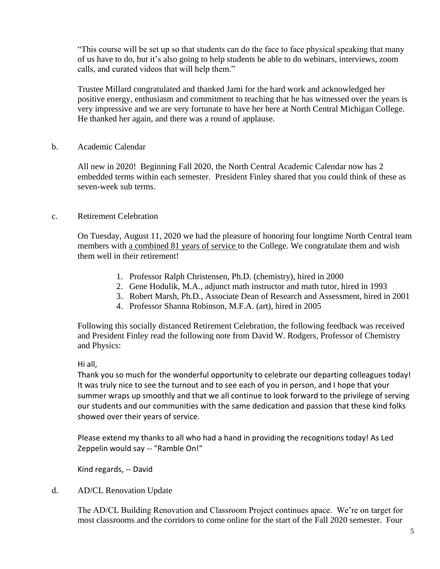"This course will be set up so that students can do the face to face physical speaking that many of us have to do, but it's also going to help students be able to do webinars, interviews, zoom calls, and curated videos that will help them."

Trustee Millard congratulated and thanked Jami for the hard work and acknowledged her positive energy, enthusiasm and commitment to teaching that he has witnessed over the years is very impressive and we are very fortunate to have her here at North Central Michigan College. He thanked her again, and there was a round of applause.

## b. Academic Calendar

All new in 2020! Beginning Fall 2020, the North Central Academic Calendar now has 2 embedded terms within each semester. President Finley shared that you could think of these as seven-week sub terms.

### c. Retirement Celebration

On Tuesday, August 11, 2020 we had the pleasure of honoring four longtime North Central team members with a combined 81 years of service to the College. We congratulate them and wish them well in their retirement!

- 1. Professor Ralph Christensen, Ph.D. (chemistry), hired in 2000
- 2. Gene Hodulik, M.A., adjunct math instructor and math tutor, hired in 1993
- 3. Robert Marsh, Ph.D., Associate Dean of Research and Assessment, hired in 2001
- 4. Professor Shanna Robinson, M.F.A. (art), hired in 2005

Following this socially distanced Retirement Celebration, the following feedback was received and President Finley read the following note from David W. Rodgers, Professor of Chemistry and Physics:

### Hi all,

Thank you so much for the wonderful opportunity to celebrate our departing colleagues today! It was truly nice to see the turnout and to see each of you in person, and I hope that your summer wraps up smoothly and that we all continue to look forward to the privilege of serving our students and our communities with the same dedication and passion that these kind folks showed over their years of service.

Please extend my thanks to all who had a hand in providing the recognitions today! As Led Zeppelin would say -- "Ramble On!"

Kind regards, -- David

d. AD/CL Renovation Update

The AD/CL Building Renovation and Classroom Project continues apace. We're on target for most classrooms and the corridors to come online for the start of the Fall 2020 semester. Four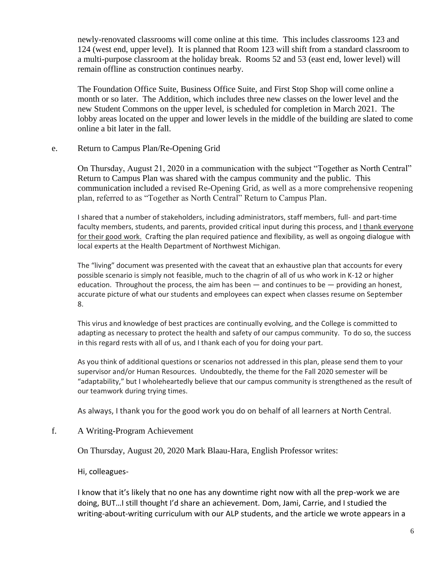newly-renovated classrooms will come online at this time. This includes classrooms 123 and 124 (west end, upper level). It is planned that Room 123 will shift from a standard classroom to a multi-purpose classroom at the holiday break. Rooms 52 and 53 (east end, lower level) will remain offline as construction continues nearby.

The Foundation Office Suite, Business Office Suite, and First Stop Shop will come online a month or so later. The Addition, which includes three new classes on the lower level and the new Student Commons on the upper level, is scheduled for completion in March 2021. The lobby areas located on the upper and lower levels in the middle of the building are slated to come online a bit later in the fall.

### e. Return to Campus Plan/Re-Opening Grid

On Thursday, August 21, 2020 in a communication with the subject "Together as North Central" Return to Campus Plan was shared with the campus community and the public. This communication included a revised Re-Opening Grid, as well as a more comprehensive reopening plan, referred to as "Together as North Central" Return to Campus Plan.

I shared that a number of stakeholders, including administrators, staff members, full- and part-time faculty members, students, and parents, provided critical input during this process, and I thank everyone for their good work. Crafting the plan required patience and flexibility, as well as ongoing dialogue with local experts at the Health Department of Northwest Michigan.

The "living" document was presented with the caveat that an exhaustive plan that accounts for every possible scenario is simply not feasible, much to the chagrin of all of us who work in K-12 or higher education. Throughout the process, the aim has been  $-$  and continues to be  $-$  providing an honest, accurate picture of what our students and employees can expect when classes resume on September 8.

This virus and knowledge of best practices are continually evolving, and the College is committed to adapting as necessary to protect the health and safety of our campus community. To do so, the success in this regard rests with all of us, and I thank each of you for doing your part.

As you think of additional questions or scenarios not addressed in this plan, please send them to your supervisor and/or Human Resources. Undoubtedly, the theme for the Fall 2020 semester will be "adaptability," but I wholeheartedly believe that our campus community is strengthened as the result of our teamwork during trying times.

As always, I thank you for the good work you do on behalf of all learners at North Central.

# f. A Writing-Program Achievement

On Thursday, August 20, 2020 Mark Blaau-Hara, English Professor writes:

Hi, colleagues-

I know that it's likely that no one has any downtime right now with all the prep-work we are doing, BUT…I still thought I'd share an achievement. Dom, Jami, Carrie, and I studied the writing-about-writing curriculum with our ALP students, and the article we wrote appears in a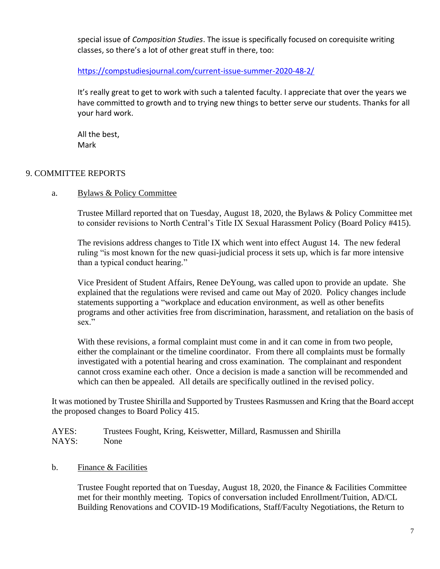special issue of *Composition Studies*. The issue is specifically focused on corequisite writing classes, so there's a lot of other great stuff in there, too:

<https://compstudiesjournal.com/current-issue-summer-2020-48-2/>

It's really great to get to work with such a talented faculty. I appreciate that over the years we have committed to growth and to trying new things to better serve our students. Thanks for all your hard work.

All the best, Mark

# 9. COMMITTEE REPORTS

## a. Bylaws & Policy Committee

Trustee Millard reported that on Tuesday, August 18, 2020, the Bylaws & Policy Committee met to consider revisions to North Central's Title IX Sexual Harassment Policy (Board Policy #415).

The revisions address changes to Title IX which went into effect August 14. The new federal ruling "is most known for the new quasi-judicial process it sets up, which is far more intensive than a typical conduct hearing."

Vice President of Student Affairs, Renee DeYoung, was called upon to provide an update. She explained that the regulations were revised and came out May of 2020. Policy changes include statements supporting a "workplace and education environment, as well as other benefits programs and other activities free from discrimination, harassment, and retaliation on the basis of sex."

With these revisions, a formal complaint must come in and it can come in from two people, either the complainant or the timeline coordinator. From there all complaints must be formally investigated with a potential hearing and cross examination. The complainant and respondent cannot cross examine each other. Once a decision is made a sanction will be recommended and which can then be appealed. All details are specifically outlined in the revised policy.

It was motioned by Trustee Shirilla and Supported by Trustees Rasmussen and Kring that the Board accept the proposed changes to Board Policy 415.

AYES: Trustees Fought, Kring, Keiswetter, Millard, Rasmussen and Shirilla NAYS: None

b. Finance & Facilities

Trustee Fought reported that on Tuesday, August 18, 2020, the Finance & Facilities Committee met for their monthly meeting. Topics of conversation included Enrollment/Tuition, AD/CL Building Renovations and COVID-19 Modifications, Staff/Faculty Negotiations, the Return to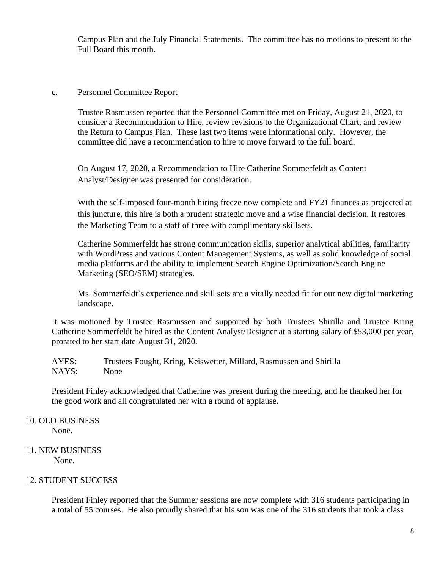Campus Plan and the July Financial Statements. The committee has no motions to present to the Full Board this month.

### c. Personnel Committee Report

Trustee Rasmussen reported that the Personnel Committee met on Friday, August 21, 2020, to consider a Recommendation to Hire, review revisions to the Organizational Chart, and review the Return to Campus Plan. These last two items were informational only. However, the committee did have a recommendation to hire to move forward to the full board.

On August 17, 2020, a Recommendation to Hire Catherine Sommerfeldt as Content Analyst/Designer was presented for consideration.

With the self-imposed four-month hiring freeze now complete and FY21 finances as projected at this juncture, this hire is both a prudent strategic move and a wise financial decision. It restores the Marketing Team to a staff of three with complimentary skillsets.

Catherine Sommerfeldt has strong communication skills, superior analytical abilities, familiarity with WordPress and various Content Management Systems, as well as solid knowledge of social media platforms and the ability to implement Search Engine Optimization/Search Engine Marketing (SEO/SEM) strategies.

Ms. Sommerfeldt's experience and skill sets are a vitally needed fit for our new digital marketing landscape.

It was motioned by Trustee Rasmussen and supported by both Trustees Shirilla and Trustee Kring Catherine Sommerfeldt be hired as the Content Analyst/Designer at a starting salary of \$53,000 per year, prorated to her start date August 31, 2020.

AYES: Trustees Fought, Kring, Keiswetter, Millard, Rasmussen and Shirilla NAYS: None

President Finley acknowledged that Catherine was present during the meeting, and he thanked her for the good work and all congratulated her with a round of applause.

- 10. OLD BUSINESS None.
- 11. NEW BUSINESS None.

# 12. STUDENT SUCCESS

President Finley reported that the Summer sessions are now complete with 316 students participating in a total of 55 courses. He also proudly shared that his son was one of the 316 students that took a class